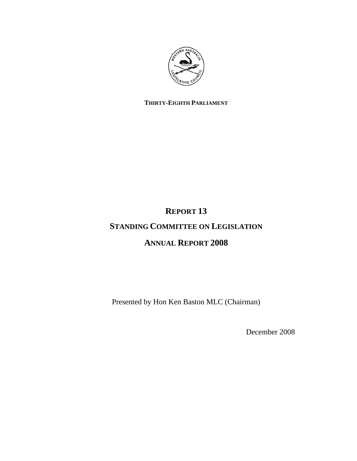

# **THIRTY-EIGHTH PARLIAMENT**

# **REPORT 13**

# **STANDING COMMITTEE ON LEGISLATION**

# **ANNUAL REPORT 2008**

Presented by Hon Ken Baston MLC (Chairman)

December 2008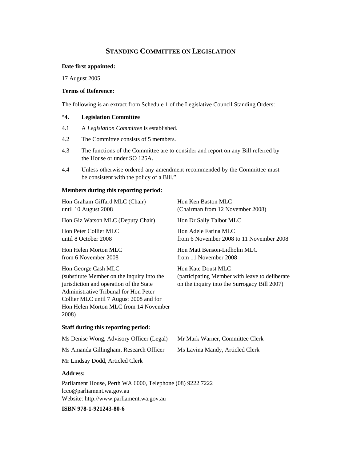# **STANDING COMMITTEE ON LEGISLATION**

#### **Date first appointed:**

17 August 2005

## **Terms of Reference:**

The following is an extract from Schedule 1 of the Legislative Council Standing Orders:

# "**4. Legislation Committee**

- 4.1 A *Legislation Committee* is established.
- 4.2 The Committee consists of 5 members.
- 4.3 The functions of the Committee are to consider and report on any Bill referred by the House or under SO 125A.
- 4.4 Unless otherwise ordered any amendment recommended by the Committee must be consistent with the policy of a Bill."

#### **Members during this reporting period:**

| Hon Graham Giffard MLC (Chair)<br>until 10 August 2008                                                                                                                                                                                             | Hon Ken Baston MLC<br>(Chairman from 12 November 2008)                                                               |
|----------------------------------------------------------------------------------------------------------------------------------------------------------------------------------------------------------------------------------------------------|----------------------------------------------------------------------------------------------------------------------|
| Hon Giz Watson MLC (Deputy Chair)                                                                                                                                                                                                                  | Hon Dr Sally Talbot MLC                                                                                              |
| Hon Peter Collier MLC<br>until 8 October 2008                                                                                                                                                                                                      | Hon Adele Farina MLC<br>from 6 November 2008 to 11 November 2008                                                     |
| Hon Helen Morton MLC<br>from 6 November 2008                                                                                                                                                                                                       | Hon Matt Benson-Lidholm MLC<br>from 11 November 2008                                                                 |
| Hon George Cash MLC<br>(substitute Member on the inquiry into the<br>jurisdiction and operation of the State<br>Administrative Tribunal for Hon Peter<br>Collier MLC until 7 August 2008 and for<br>Hon Helen Morton MLC from 14 November<br>2008) | Hon Kate Doust MLC<br>(participating Member with leave to deliberate<br>on the inquiry into the Surrogacy Bill 2007) |
| Staff during this reporting period:                                                                                                                                                                                                                |                                                                                                                      |
| Ms Denise Wong, Advisory Officer (Legal)                                                                                                                                                                                                           | Mr Mark Warner, Committee Clerk                                                                                      |
| Ms Amanda Gillingham, Research Officer                                                                                                                                                                                                             | Ms Lavina Mandy, Articled Clerk                                                                                      |
| Mr Lindsay Dodd, Articled Clerk                                                                                                                                                                                                                    |                                                                                                                      |
| <b>Address:</b>                                                                                                                                                                                                                                    |                                                                                                                      |

Parliament House, Perth WA 6000, Telephone (08) 9222 7222 lcco@parliament.wa.gov.au Website: http://www.parliament.wa.gov.au

**ISBN 978-1-921243-80-6**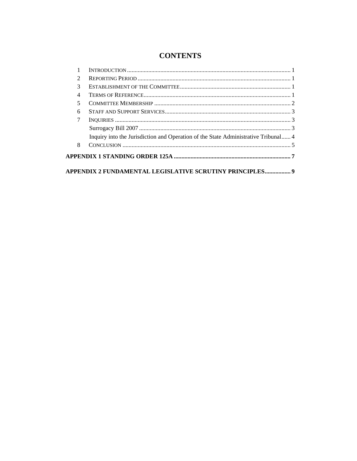# **CONTENTS**

| 2              |                                                                                    |  |
|----------------|------------------------------------------------------------------------------------|--|
| 3              |                                                                                    |  |
| $\overline{4}$ |                                                                                    |  |
| 5              |                                                                                    |  |
| 6              |                                                                                    |  |
| 7              |                                                                                    |  |
|                |                                                                                    |  |
|                | Inquiry into the Jurisdiction and Operation of the State Administrative Tribunal 4 |  |
| 8              |                                                                                    |  |
|                |                                                                                    |  |
|                | APPENDIX 2 FUNDAMENTAL LEGISLATIVE SCRUTINY PRINCIPLES 9                           |  |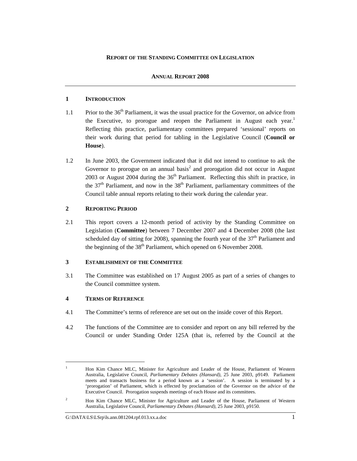## **REPORT OF THE STANDING COMMITTEE ON LEGISLATION**

## **ANNUAL REPORT 2008**

## **1 INTRODUCTION**

- 1.1 Prior to the 36<sup>th</sup> Parliament, it was the usual practice for the Governor, on advice from the Executive, to prorogue and reopen the Parliament in August each year.<sup>1</sup> Reflecting this practice, parliamentary committees prepared 'sessional' reports on their work during that period for tabling in the Legislative Council (**Council or House**).
- 1.2 In June 2003, the Government indicated that it did not intend to continue to ask the Governor to prorogue on an annual basis $2$  and prorogation did not occur in August 2003 or August 2004 during the  $36<sup>th</sup>$  Parliament. Reflecting this shift in practice, in the  $37<sup>th</sup>$  Parliament, and now in the  $38<sup>th</sup>$  Parliament, parliamentary committees of the Council table annual reports relating to their work during the calendar year.

## **2 REPORTING PERIOD**

2.1 This report covers a 12-month period of activity by the Standing Committee on Legislation (**Committee**) between 7 December 2007 and 4 December 2008 (the last scheduled day of sitting for 2008), spanning the fourth year of the  $37<sup>th</sup>$  Parliament and the beginning of the  $38<sup>th</sup>$  Parliament, which opened on 6 November 2008.

## **3 ESTABLISHMENT OF THE COMMITTEE**

3.1 The Committee was established on 17 August 2005 as part of a series of changes to the Council committee system.

# **4 TERMS OF REFERENCE**

l

- 4.1 The Committee's terms of reference are set out on the inside cover of this Report.
- 4.2 The functions of the Committee are to consider and report on any bill referred by the Council or under Standing Order 125A (that is, referred by the Council at the

<sup>1</sup> Hon Kim Chance MLC, Minister for Agriculture and Leader of the House, Parliament of Western Australia, Legislative Council, *Parliamentary Debates (Hansard)*, 25 June 2003, p9149. Parliament meets and transacts business for a period known as a 'session'. A session is terminated by a 'prorogation' of Parliament, which is effected by proclamation of the Governor on the advice of the Executive Council. Prorogation suspends meetings of each House and its committees.

<sup>2</sup> Hon Kim Chance MLC, Minister for Agriculture and Leader of the House, Parliament of Western Australia, Legislative Council, *Parliamentary Debates (Hansard)*, 25 June 2003, p9150.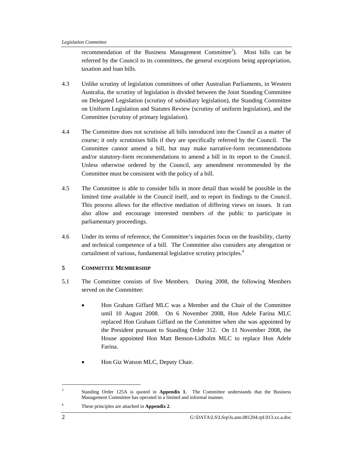recommendation of the Business Management Committee<sup>3</sup>). ). Most bills can be referred by the Council to its committees, the general exceptions being appropriation, taxation and loan bills.

- 4.3 Unlike scrutiny of legislation committees of other Australian Parliaments, in Western Australia, the scrutiny of legislation is divided between the Joint Standing Committee on Delegated Legislation (scrutiny of subsidiary legislation), the Standing Committee on Uniform Legislation and Statutes Review (scrutiny of uniform legislation), and the Committee (scrutiny of primary legislation).
- 4.4 The Committee does not scrutinise all bills introduced into the Council as a matter of course; it only scrutinises bills if they are specifically referred by the Council. The Committee cannot amend a bill, but may make narrative-form recommendations and/or statutory-form recommendations to amend a bill in its report to the Council. Unless otherwise ordered by the Council, any amendment recommended by the Committee must be consistent with the policy of a bill.
- 4.5 The Committee is able to consider bills in more detail than would be possible in the limited time available in the Council itself, and to report its findings to the Council. This process allows for the effective mediation of differing views on issues. It can also allow and encourage interested members of the public to participate in parliamentary proceedings.
- 4.6 Under its terms of reference, the Committee's inquiries focus on the feasibility, clarity and technical competence of a bill. The Committee also considers any abrogation or curtailment of various, fundamental legislative scrutiny principles.<sup>4</sup>

# **5 COMMITTEE MEMBERSHIP**

- 5.1 The Committee consists of five Members. During 2008, the following Members served on the Committee:
	- Hon Graham Giffard MLC was a Member and the Chair of the Committee until 10 August 2008. On 6 November 2008, Hon Adele Farina MLC replaced Hon Graham Giffard on the Committee when she was appointed by the President pursuant to Standing Order 312. On 11 November 2008, the House appointed Hon Matt Benson-Lidholm MLC to replace Hon Adele Farina.
	- Hon Giz Watson MLC, Deputy Chair.

 $\overline{a}$ 

<sup>3</sup> Standing Order 125A is quoted in **Appendix 1.** The Committee understands that the Business Management Committee has operated in a limited and informal manner.

<sup>4</sup> These principles are attached in **Appendix 2**.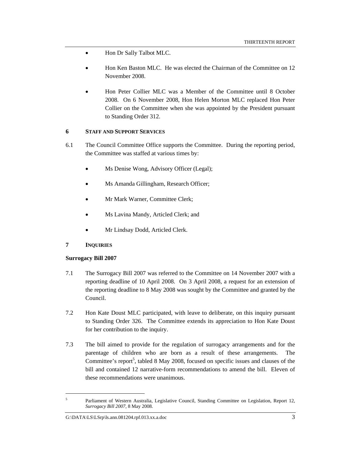- Hon Dr Sally Talbot MLC.
- Hon Ken Baston MLC. He was elected the Chairman of the Committee on 12 November 2008.
- Hon Peter Collier MLC was a Member of the Committee until 8 October 2008. On 6 November 2008, Hon Helen Morton MLC replaced Hon Peter Collier on the Committee when she was appointed by the President pursuant to Standing Order 312.

# **6 STAFF AND SUPPORT SERVICES**

- 6.1 The Council Committee Office supports the Committee. During the reporting period, the Committee was staffed at various times by:
	- Ms Denise Wong, Advisory Officer (Legal);
	- Ms Amanda Gillingham, Research Officer;
	- Mr Mark Warner, Committee Clerk;
	- Ms Lavina Mandy, Articled Clerk; and
	- Mr Lindsay Dodd, Articled Clerk.

## **7 INQUIRIES**

l

## **Surrogacy Bill 2007**

- 7.1 The Surrogacy Bill 2007 was referred to the Committee on 14 November 2007 with a reporting deadline of 10 April 2008. On 3 April 2008, a request for an extension of the reporting deadline to 8 May 2008 was sought by the Committee and granted by the Council.
- 7.2 Hon Kate Doust MLC participated, with leave to deliberate, on this inquiry pursuant to Standing Order 326. The Committee extends its appreciation to Hon Kate Doust for her contribution to the inquiry.
- 7.3 The bill aimed to provide for the regulation of surrogacy arrangements and for the parentage of children who are born as a result of these arrangements. The Committee's report<sup>5</sup>, tabled 8 May 2008, focused on specific issues and clauses of the bill and contained 12 narrative-form recommendations to amend the bill. Eleven of these recommendations were unanimous.

<sup>5</sup> Parliament of Western Australia, Legislative Council, Standing Committee on Legislation, Report 12, *Surrogacy Bill 2007*, 8 May 2008.

G:\DATA\LS\LSrp\ls.ann.081204.rpf.013.xx.a.doc 3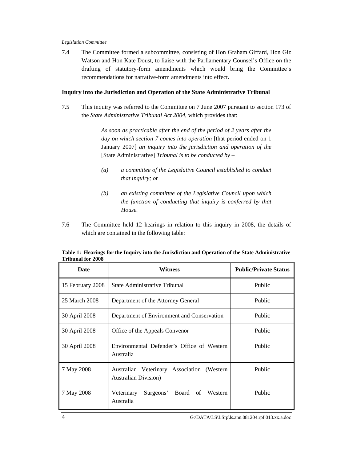7.4 The Committee formed a subcommittee, consisting of Hon Graham Giffard, Hon Giz Watson and Hon Kate Doust, to liaise with the Parliamentary Counsel's Office on the drafting of statutory-form amendments which would bring the Committee's recommendations for narrative-form amendments into effect.

#### **Inquiry into the Jurisdiction and Operation of the State Administrative Tribunal**

7.5 This inquiry was referred to the Committee on 7 June 2007 pursuant to section 173 of the *State Administrative Tribunal Act 2004*, which provides that:

> *As soon as practicable after the end of the period of 2 years after the day on which section 7 comes into operation* [that period ended on 1 January 2007] *an inquiry into the jurisdiction and operation of the*  [State Administrative] *Tribunal is to be conducted by –*

- *(a) a committee of the Legislative Council established to conduct that inquiry; or*
- *(b) an existing committee of the Legislative Council upon which the function of conducting that inquiry is conferred by that House.*
- 7.6 The Committee held 12 hearings in relation to this inquiry in 2008, the details of which are contained in the following table:

| Date             | Witness                                                                    | <b>Public/Private Status</b> |
|------------------|----------------------------------------------------------------------------|------------------------------|
| 15 February 2008 | State Administrative Tribunal                                              | Public                       |
| 25 March 2008    | Department of the Attorney General                                         | Public                       |
| 30 April 2008    | Department of Environment and Conservation                                 | Public                       |
| 30 April 2008    | Office of the Appeals Convenor                                             | Public                       |
| 30 April 2008    | Environmental Defender's Office of Western<br>Australia                    | Public                       |
| 7 May 2008       | Australian Veterinary Association (Western<br><b>Australian Division</b> ) | Public                       |
| 7 May 2008       | Veterinary<br>Surgeons' Board of<br>Western<br>Australia                   | Public                       |

**Table 1: Hearings for the Inquiry into the Jurisdiction and Operation of the State Administrative Tribunal for 2008**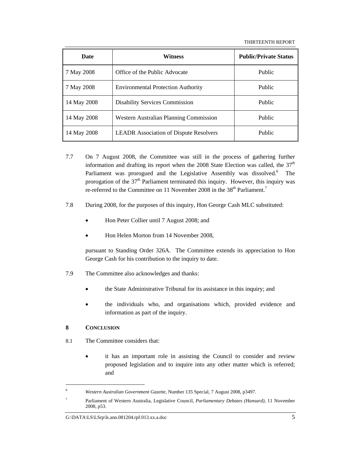| Date        | Witness                                       | <b>Public/Private Status</b> |
|-------------|-----------------------------------------------|------------------------------|
| 7 May 2008  | Office of the Public Advocate                 | Public                       |
| 7 May 2008  | <b>Environmental Protection Authority</b>     | Public                       |
| 14 May 2008 | <b>Disability Services Commission</b>         | Public                       |
| 14 May 2008 | Western Australian Planning Commission        | Public                       |
| 14 May 2008 | <b>LEADR</b> Association of Dispute Resolvers | Public                       |

- 7.7 On 7 August 2008, the Committee was still in the process of gathering further information and drafting its report when the 2008 State Election was called, the  $37<sup>th</sup>$ Parliament was prorogued and the Legislative Assembly was dissolved.<sup>6</sup> The prorogation of the  $37<sup>th</sup>$  Parliament terminated this inquiry. However, this inquiry was re-referred to the Committee on 11 November 2008 in the  $38<sup>th</sup>$  Parliament.<sup>7</sup>
- 7.8 During 2008, for the purposes of this inquiry, Hon George Cash MLC substituted:
	- Hon Peter Collier until 7 August 2008; and
	- Hon Helen Morton from 14 November 2008,

pursuant to Standing Order 326A. The Committee extends its appreciation to Hon George Cash for his contribution to the inquiry to date.

- 7.9 The Committee also acknowledges and thanks:
	- the State Administrative Tribunal for its assistance in this inquiry; and
	- the individuals who, and organisations which, provided evidence and information as part of the inquiry.

## **8 CONCLUSION**

 $\overline{a}$ 

- 8.1 The Committee considers that:
	- it has an important role in assisting the Council to consider and review proposed legislation and to inquire into any other matter which is referred; and

<sup>6</sup> *Western Australian Government Gazette*, Number 135 Special, 7 August 2008, p3497.

<sup>7</sup> Parliament of Western Australia, Legislative Council, *Parliamentary Debates (Hansard)*, 11 November 2008, p53.

G:\DATA\LS\LSrp\ls.ann.081204.rpf.013.xx.a.doc 5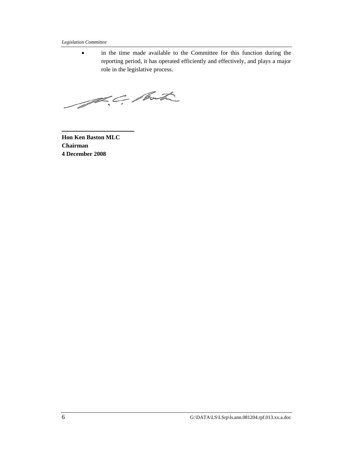#### *Legislation Committee*

• in the time made available to the Committee for this function during the reporting period, it has operated efficiently and effectively, and plays a major role in the legislative process.

A.C. Port

**Hon Ken Baston MLC Chairman 4 December 2008**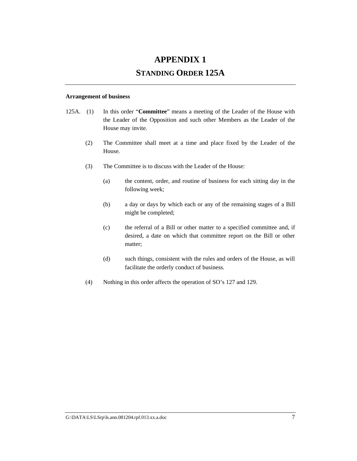# **APPENDIX 1**

# **STANDING ORDER 125A**

#### **Arrangement of business**

- 125A. (1) In this order "**Committee**" means a meeting of the Leader of the House with the Leader of the Opposition and such other Members as the Leader of the House may invite.
	- (2) The Committee shall meet at a time and place fixed by the Leader of the House.
	- (3) The Committee is to discuss with the Leader of the House:
		- (a) the content, order, and routine of business for each sitting day in the following week;
		- (b) a day or days by which each or any of the remaining stages of a Bill might be completed;
		- (c) the referral of a Bill or other matter to a specified committee and, if desired, a date on which that committee report on the Bill or other matter;
		- (d) such things, consistent with the rules and orders of the House, as will facilitate the orderly conduct of business.
	- (4) Nothing in this order affects the operation of SO's 127 and 129.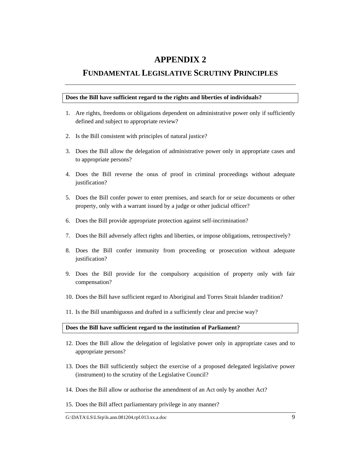# **APPENDIX 2**

# **FUNDAMENTAL LEGISLATIVE SCRUTINY PRINCIPLES**

#### **Does the Bill have sufficient regard to the rights and liberties of individuals?**

- 1. Are rights, freedoms or obligations dependent on administrative power only if sufficiently defined and subject to appropriate review?
- 2. Is the Bill consistent with principles of natural justice?
- 3. Does the Bill allow the delegation of administrative power only in appropriate cases and to appropriate persons?
- 4. Does the Bill reverse the onus of proof in criminal proceedings without adequate justification?
- 5. Does the Bill confer power to enter premises, and search for or seize documents or other property, only with a warrant issued by a judge or other judicial officer?
- 6. Does the Bill provide appropriate protection against self-incrimination?
- 7. Does the Bill adversely affect rights and liberties, or impose obligations, retrospectively?
- 8. Does the Bill confer immunity from proceeding or prosecution without adequate justification?
- 9. Does the Bill provide for the compulsory acquisition of property only with fair compensation?
- 10. Does the Bill have sufficient regard to Aboriginal and Torres Strait Islander tradition?
- 11. Is the Bill unambiguous and drafted in a sufficiently clear and precise way?

#### **Does the Bill have sufficient regard to the institution of Parliament?**

- 12. Does the Bill allow the delegation of legislative power only in appropriate cases and to appropriate persons?
- 13. Does the Bill sufficiently subject the exercise of a proposed delegated legislative power (instrument) to the scrutiny of the Legislative Council?
- 14. Does the Bill allow or authorise the amendment of an Act only by another Act?
- 15. Does the Bill affect parliamentary privilege in any manner?